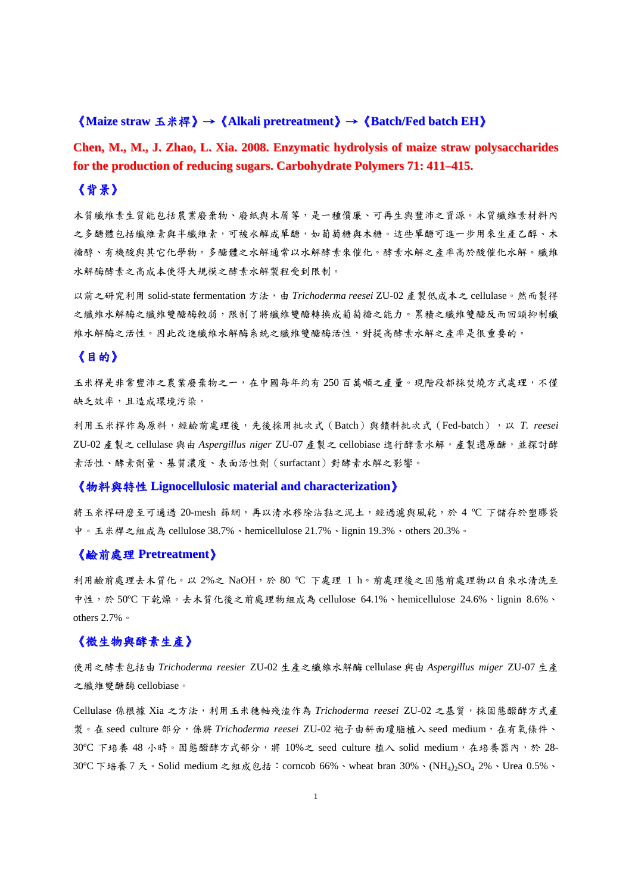# 《**Maize straw** 玉米桿》→《**Alkali pretreatment**》→《**Batch/Fed batch EH**》

**Chen, M., M., J. Zhao, L. Xia. 2008. Enzymatic hydrolysis of maize straw polysaccharides for the production of reducing sugars. Carbohydrate Polymers 71: 411–415.**

# 《背景》

木質纖維素生質能包括農業物、廢紙與木屑等,是一種價廉、可再生與豐沛之資源。木質纖維素材料內 之多醣體包括纖維素與半纖維素,可被水解成單醣,如葡萄糖與木糖。這些單醣可進一步用來生產乙醇、木 糖醇、有機酸與其它化學物。多醣體之水解通常以水解酵素來催化。酵素水解之產率高於酸催化水解。纖維 水解酶酵素之高成本使得大規模之酵素水解製程受到限制。

以前之研究利用 solid-state fermentation 方法,由 *Trichoderma reesei* ZU-02 產製低成本之 cellulase。然而製得 之纖維水解酶之纖維雙酶轉次銷價等的轉換成葡萄糖之能力。累積之纖維雙醣反而回頭抑制纖 維水解酶之活性。因此改進纖維水解酶系統之纖維雙醣酶活性,對提高酵素水解之產率是很重要的。

## 《目的》

玉米桿是非常豐沛之農業廢棄物之一,在中國每年約有 250 百萬噸之產量。現階段都採焚燒方式處理,不僅 缺乏效率,且造成環境污染。

利用玉米桿作為原料,經鹼前處理後,先後採用批次式(Batch)與饋料批次式(Fed-batch),以 *T. reesei* ZU-02 產製之 cellulase 與由 *Aspergillus niger* ZU-07 產製之 cellobiase 進行酵素水解,產製還原醣,並探討酵 素活性、酵素劑量、基質濃度、表面活性劑(surfactant)對酵素水解之影響。

## 《物料與特性 **Lignocellulosic material and characterization**》

將玉米桿研磨至可通過 20-mesh 篩網,再以清水移除沾黏之泥土,經過濾與風乾,於 4 ℃ 下儲存於塑膠袋 中。玉米桿之組成為 cellulose 38.7%、hemicellulose 21.7%、lignin 19.3%、others 20.3%。

## 《鹼前處理 **Pretreatment**》

利用鹼前處理去木質化。以 2%之 NaOH,於 80 ℃ 下處理 1 h。前處理後之固態前處理物以自來水清洗至 中性,於 50ºC 下乾燥。去木質化後之前處理物組成為 cellulose 64.1%、hemicellulose 24.6%、lignin 8.6%、 others 2.7%。

# 《微生物與酵素生產》

使用之酵素包括由 *Trichoderma reesier* ZU-02 生產之纖維水解酶 cellulase 與由 *Aspergillus miger* ZU-07 生產 之纖維雙醣酶 cellobiase。

Cellulase 係根據 Xia 之方法,利用玉米穗軸殘渣作為 *Trichoderma reesei* ZU-02 之基質,採固態醱酵方式產 製。在 seed culture 部分,係將 *Trichoderma reesei* ZU-02 袍子由斜面瓊脂植入 seed medium,在有氧條件、 30℃下培養 48 小時。固態醱酵方式部分,將 10%之 seed culture 植入 solid medium, 在培養器內,於 28-30ºC 下培養 7 天。Solid medium 之組成包括:corncob 66%、wheat bran 30%、(NH4)2SO4 2%、Urea 0.5%、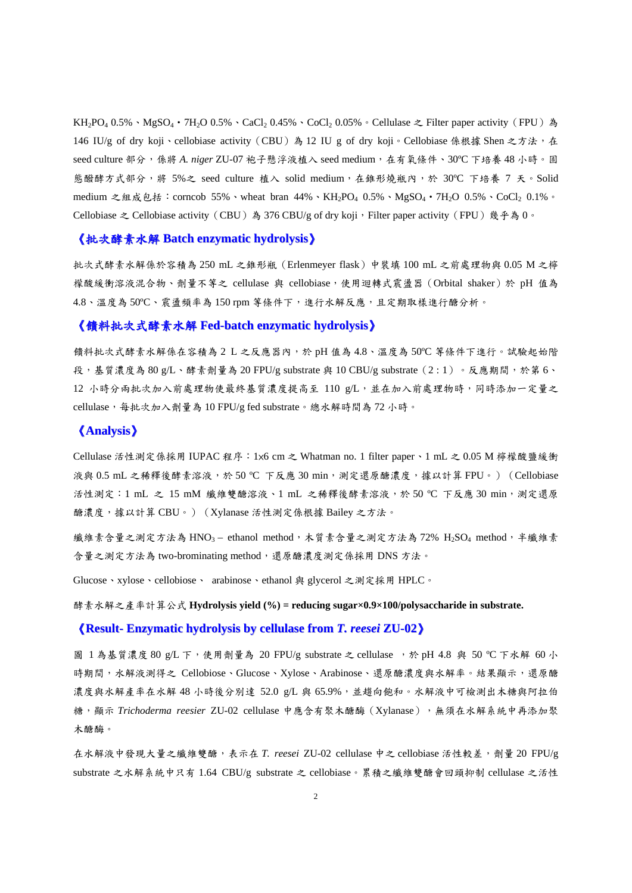KH<sub>2</sub>PO<sub>4</sub> 0.5%、MgSO<sub>4</sub>·7H<sub>2</sub>O 0.5%、CaCl<sub>2</sub> 0.45%、CoCl<sub>2</sub> 0.05%。Cellulase  $\geq$  Filter paper activity (FPU) 為 146 IU/g of dry koji、cellobiase activity (CBU) 為 12 IU g of dry koji。Cellobiase 係根據 Shen 之方法,在 seed culture 部分,係將 *A. niger* ZU-07 袍子懸浮液植入 seed medium,在有氧條件、30ºC 下培養 48 小時。固 態醱酵方式部分,將 5%之 seed culture 植入 solid medium,在錐形燒瓶內,於 30°C 下培養 7 天。Solid medium 之組成包括:corncob 55%、wheat bran 44%、KH<sub>2</sub>PO<sub>4</sub> 0.5%、MgSO<sub>4</sub>·7H<sub>2</sub>O 0.5%、CoCl<sub>2</sub> 0.1%。 Cellobiase  $\geq$  Cellobiase activity (CBU) 為 376 CBU/g of dry koji, Filter paper activity (FPU) 幾乎為 0。

## 《批次酵素水解 **Batch enzymatic hydrolysis**》

批次式酵素水解係於容積為 250 mL 之錐形瓶(Erlenmeyer flask)中裝填 100 mL 之前處理物與 0.05 M 之檸 檬酸緩衝溶液混合物、劑量不等之 cellulase 與 cellobiase,使用迴轉式震盪器(Orbital shaker)於 pH 值為 4.8、溫度為 50℃、震盪頻率為 150 rpm 等條件下,進行水解反應,且定期取樣進行醣分析。

#### 《饋料批次式酵素水解 **Fed-batch enzymatic hydrolysis**》

饋料批次式酵素水解係在容積為 2 L 之反應器內,於 pH 值為 4.8、溫度為 50ºC 等條件下進行。試驗起始階 段,基質濃度為 80 g/L、酵素劑量為 20 FPU/g substrate 與 10 CBU/g substrate(2 : 1)。反應期間,於第 6、 12 小時分兩批次加入前處理物使最終基質濃度提高至 110 g/L,並在加入前處理物時,同時添加一定量之 cellulase,每批次加入劑量為 10 FPU/g fed substrate。總水解時間為 72 小時。

## 《**Analysis**》

Cellulase 活性測定係採用 IUPAC 程序:1×6 cm 之 Whatman no. 1 filter paper、1 mL 之 0.05 M 檸檬酸鹽緩衝 液與 0.5 mL 之稀釋後酵素溶液,於 50 ℃ 下反應 30 min,測定還原醣濃度,據以計算 FPU。) (Cellobiase 活性測定:1 mL 之 15 mM 纖維雙醣溶液、1 mL 之稀釋後酵素溶液,於 50 ºC 下反應 30 min,測定還原 醣濃度,據以計算 CBU。)(Xylanase 活性測定係根據 Bailey 之方法。

織維素含量之測定方法為 HNO<sub>3</sub> – ethanol method,木質素含量之測定方法為 72% H<sub>2</sub>SO<sub>4</sub> method,半纖維素 含量之測定方法為 two-brominating method,還原醣濃度測定係採用 DNS 方法。

Glucose、xylose、cellobiose、 arabinose、ethanol 與 glycerol 之測定採用 HPLC。

酵素水解之產率計算公式 **Hydrolysis yield (%) = reducing sugar×0.9×100/polysaccharide in substrate.** 

#### 《**Result- Enzymatic hydrolysis by cellulase from** *T. reesei* **ZU-02**》

圖 1 為基質濃度 80 g/L 下, 使用劑量為 20 FPU/g substrate 之 cellulase ,於 pH 4.8 與 50 ℃ 下水解 60 小 時期間,水解液測得之 Cellobiose、Glucose、Xylose、Arabinose、還原醣濃度與水解率。結果顯示,還原醣 濃度與水解產率在水解 48 小時後分別達 52.0 g/L 與 65.9%, 並趨向飽和。水解液中可檢測出木糖與阿拉伯 糖,顯示 *Trichoderma reesier* ZU-02 cellulase 中應含有聚木醣酶(Xylanase),無須在水解系統中再添加聚 木醣酶。

在水解液中發現大量之纖維雙醣,表示在 *T. reesei* ZU-02 cellulase 中之 cellobiase 活性較差,劑量 20 FPU/g substrate 之水解系統中只有 1.64 CBU/g substrate 之 cellobiase。累積之纖維雙醣會回頭抑制 cellulase 之活性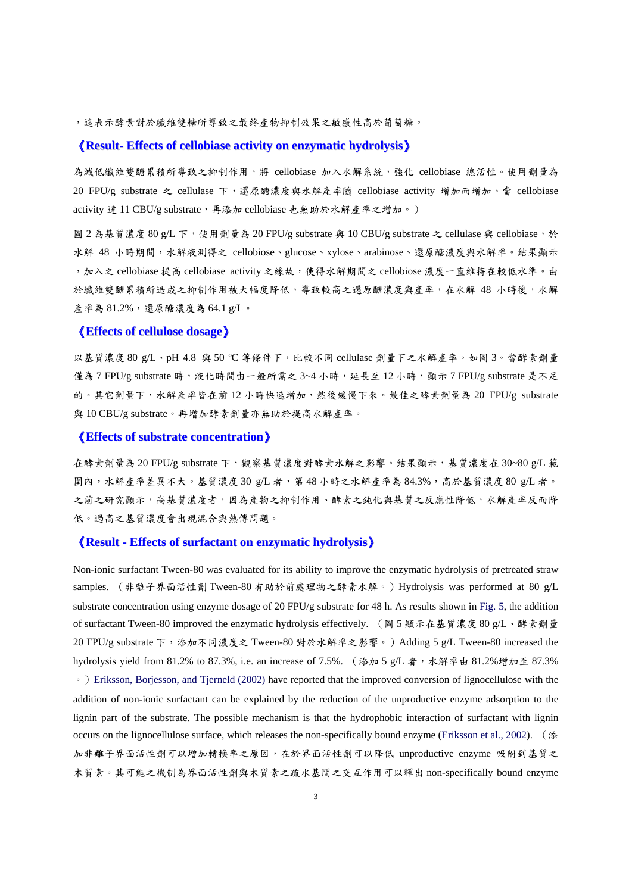,這表示酵素對於纖維雙糖所導致之最終產物抑制效果之敏感性高於葡萄糖。

## 《**Result- Effects of cellobiase activity on enzymatic hydrolysis**》

為減低纖維雙醣累積所導致之抑制作用,將 cellobiase 加入水解系統,強化 cellobiase 總活性。使用劑量為 20 FPU/g substrate 之 cellulase 下,還原醣濃度與水解產率隨 cellobiase activity 增加而增加。當 cellobiase activity 達 11 CBU/g substrate,再添加 cellobiase 也無助於水解產率之增加。)

圖 2 為基質濃度 80 g/L 下,使用劑量為 20 FPU/g substrate 與 10 CBU/g substrate 之 cellulase 與 cellobiase,於 水解 48 小時期間,水解液測得之 cellobiose、glucose、xylose、arabinose、還原醣濃度與水解率。結果顯示 , 加入之 cellobiase 提高 cellobiase activity 之緣故,使得水解期間之 cellobiose 濃度一直維持在較低水準。由 於纖維雙醣累積所造成之抑制作用被大幅度降低,導致較高之還原醣濃度與產率,在水解 48 小時後,水解 產率為 81.2%,還原醣濃度為 64.1 g/L。

### 《**Effects of cellulose dosage**》

以基質濃度 80 g/L、pH 4.8 與 50 ºC 等條件下,比較不同 cellulase 劑量下之水解產率。如圖 3。當酵素劑量 僅為 7 FPU/g substrate 時,液化時間由一般所需之 3~4 小時,延長至 12 小時,顯示 7 FPU/g substrate 是不足 的。其它劑量下,水解產率皆在前 12 小時快速增加,然後緩慢下來。最佳之酵素劑量為 20 FPU/g substrate 與 10 CBU/g substrate。再增加酵素劑量亦無助於提高水解產率。

### 《**Effects of substrate concentration**》

在酵素劑量為 20 FPU/g substrate 下,觀察基質濃度對酵素水解之影響。結果顯示,基質濃度在 30~80 g/L 範 圍內,水解產率差異不大。基質濃度 30 g/L 者,第 48 小時之水解產率為 84.3%,高於基質濃度 80 g/L 者。 之前之研究顯示,高基質濃度者,因為產物之抑制作用、酵素之鈍化與基質之反應性降低,水解產率反而降 低。過高之基質濃度會出現混合與熱傳問題。

#### 《**Result - Effects of surfactant on enzymatic hydrolysis**》

Non-ionic surfactant Tween-80 was evaluated for its ability to improve the enzymatic hydrolysis of pretreated straw samples. (非離子界面活性劑 Tween-80 有助於前處理物之酵素水解。)Hydrolysis was performed at 80 g/L substrate concentration using enzyme dosage of 20 FPU/g substrate for 48 h. As results shown in Fig. 5, the addition of surfactant Tween-80 improved the enzymatic hydrolysis effectively. (圖 5 顯示在基質濃度 80 g/L、酵素劑量 20 FPU/g substrate 下,添加不同濃度之 Tween-80 對於水解率之影響。) Adding 5 g/L Tween-80 increased the hydrolysis yield from 81.2% to 87.3%, i.e. an increase of 7.5%. (添加5 g/L 者,水解率由 81.2%增加至 87.3% 。)Eriksson, Borjesson, and Tjerneld (2002) have reported that the improved conversion of lignocellulose with the addition of non-ionic surfactant can be explained by the reduction of the unproductive enzyme adsorption to the lignin part of the substrate. The possible mechanism is that the hydrophobic interaction of surfactant with lignin occurs on the lignocellulose surface, which releases the non-specifically bound enzyme (Eriksson et al., 2002). (添 加非離子界面活性劑可以增加轉換率之原因,在於界面活性劑可以降低 unproductive enzyme 吸附到基質之 木質素。其可能之機制為界面活性劑與木質素之疏水基間之交互作用可以釋出 non-specifically bound enzyme